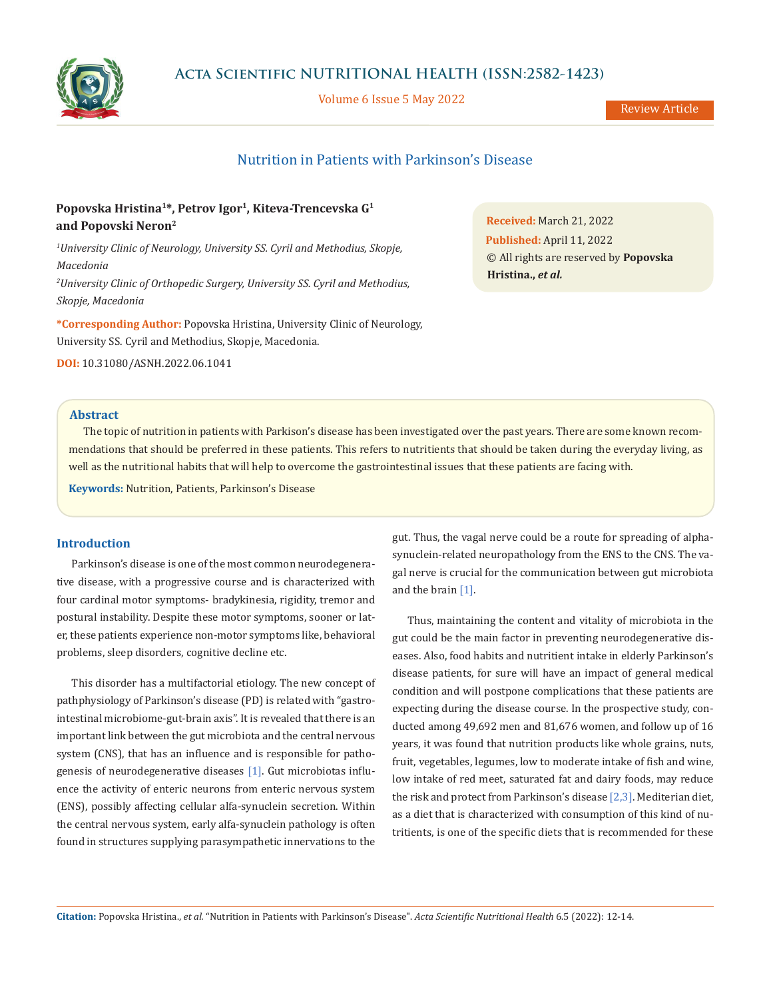

Volume 6 Issue 5 May 2022

# Nutrition in Patients with Parkinson's Disease

# **Popovska Hristina1\*, Petrov Igor1, Kiteva-Trencevska G1 and Popovski Neron2**

*1 University Clinic of Neurology, University SS. Cyril and Methodius, Skopje, Macedonia 2 University Clinic of Orthopedic Surgery, University SS. Cyril and Methodius, Skopje, Macedonia*

**\*Corresponding Author:** Popovska Hristina, University Clinic of Neurology, University SS. Cyril and Methodius, Skopje, Macedonia.

**DOI:** [10.31080/ASNH.2022.06.1041](https://actascientific.com/ASNH/pdf/ASNH-06-1041.pdf)

**Abstract**

The topic of nutrition in patients with Parkison's disease has been investigated over the past years. There are some known recommendations that should be preferred in these patients. This refers to nutritients that should be taken during the everyday living, as well as the nutritional habits that will help to overcome the gastrointestinal issues that these patients are facing with.

**Keywords:** Nutrition, Patients, Parkinson's Disease

## **Introduction**

Parkinson's disease is one of the most common neurodegenerative disease, with a progressive course and is characterized with four cardinal motor symptoms- bradykinesia, rigidity, tremor and postural instability. Despite these motor symptoms, sooner or later, these patients experience non-motor symptoms like, behavioral problems, sleep disorders, cognitive decline etc.

This disorder has a multifactorial etiology. The new concept of pathphysiology of Parkinson's disease (PD) is related with "gastrointestinal microbiome-gut-brain axis". It is revealed that there is an important link between the gut microbiota and the central nervous system (CNS), that has an influence and is responsible for pathogenesis of neurodegenerative diseases [1]. Gut microbiotas influence the activity of enteric neurons from enteric nervous system (ENS), possibly affecting cellular alfa-synuclein secretion. Within the central nervous system, early alfa-synuclein pathology is often found in structures supplying parasympathetic innervations to the gut. Thus, the vagal nerve could be a route for spreading of alphasynuclein-related neuropathology from the ENS to the CNS. The vagal nerve is crucial for the communication between gut microbiota and the brain [1].

Thus, maintaining the content and vitality of microbiota in the gut could be the main factor in preventing neurodegenerative diseases. Also, food habits and nutritient intake in elderly Parkinson's disease patients, for sure will have an impact of general medical condition and will postpone complications that these patients are expecting during the disease course. In the prospective study, conducted among 49,692 men and 81,676 women, and follow up of 16 years, it was found that nutrition products like whole grains, nuts, fruit, vegetables, legumes, low to moderate intake of fish and wine, low intake of red meet, saturated fat and dairy foods, may reduce the risk and protect from Parkinson's disease [2,3]. Mediterian diet, as a diet that is characterized with consumption of this kind of nutritients, is one of the specific diets that is recommended for these

**Citation:** Popovska Hristina., *et al.* "Nutrition in Patients with Parkinson's Disease". *Acta Scientific Nutritional Health* 6.5 (2022): 12-14.

**Received:** March 21, 2022 **Published:** April 11, 2022 © All rights are reserved by **Popovska Hristina.,** *et al.*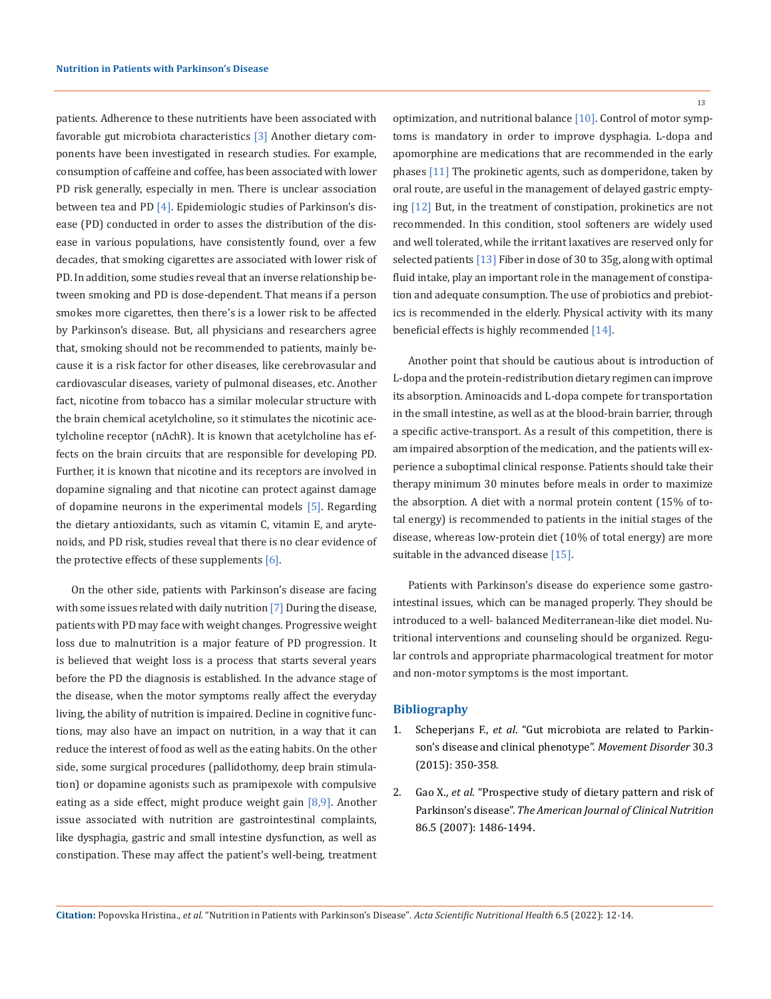patients. Adherence to these nutritients have been associated with favorable gut microbiota characteristics [3] Another dietary components have been investigated in research studies. For example, consumption of caffeine and coffee, has been associated with lower PD risk generally, especially in men. There is unclear association between tea and PD [4]. Epidemiologic studies of Parkinson's disease (PD) conducted in order to asses the distribution of the disease in various populations, have consistently found, over a few decades, that smoking cigarettes are associated with lower risk of PD. In addition, some studies reveal that an inverse relationship between smoking and PD is dose-dependent. That means if a person smokes more cigarettes, then there's is a lower risk to be affected by Parkinson's disease. But, all physicians and researchers agree that, smoking should not be recommended to patients, mainly because it is a risk factor for other diseases, like cerebrovasular and cardiovascular diseases, variety of pulmonal diseases, etc. Another fact, nicotine from tobacco has a similar molecular structure with the brain chemical acetylcholine, so it stimulates the nicotinic acetylcholine receptor (nAchR). It is known that acetylcholine has effects on the brain circuits that are responsible for developing PD. Further, it is known that nicotine and its receptors are involved in dopamine signaling and that nicotine can protect against damage of dopamine neurons in the experimental models [5]. Regarding the dietary antioxidants, such as vitamin C, vitamin E, and arytenoids, and PD risk, studies reveal that there is no clear evidence of the protective effects of these supplements [6].

On the other side, patients with Parkinson's disease are facing with some issues related with daily nutrition [7] During the disease, patients with PD may face with weight changes. Progressive weight loss due to malnutrition is a major feature of PD progression. It is believed that weight loss is a process that starts several years before the PD the diagnosis is established. In the advance stage of the disease, when the motor symptoms really affect the everyday living, the ability of nutrition is impaired. Decline in cognitive functions, may also have an impact on nutrition, in a way that it can reduce the interest of food as well as the eating habits. On the other side, some surgical procedures (pallidothomy, deep brain stimulation) or dopamine agonists such as pramipexole with compulsive eating as a side effect, might produce weight gain  $[8,9]$ . Another issue associated with nutrition are gastrointestinal complaints, like dysphagia, gastric and small intestine dysfunction, as well as constipation. These may affect the patient's well-being, treatment

13

optimization, and nutritional balance [10]. Control of motor symptoms is mandatory in order to improve dysphagia. L-dopa and apomorphine are medications that are recommended in the early phases [11] The prokinetic agents, such as domperidone, taken by oral route, are useful in the management of delayed gastric emptying [12] But, in the treatment of constipation, prokinetics are not recommended. In this condition, stool softeners are widely used and well tolerated, while the irritant laxatives are reserved only for selected patients [13] Fiber in dose of 30 to 35g, along with optimal fluid intake, play an important role in the management of constipation and adequate consumption. The use of probiotics and prebiotics is recommended in the elderly. Physical activity with its many beneficial effects is highly recommended [14].

Another point that should be cautious about is introduction of L-dopa and the protein-redistribution dietary regimen can improve its absorption. Aminoacids and L-dopa compete for transportation in the small intestine, as well as at the blood-brain barrier, through a specific active-transport. As a result of this competition, there is am impaired absorption of the medication, and the patients will experience a suboptimal clinical response. Patients should take their therapy minimum 30 minutes before meals in order to maximize the absorption. A diet with a normal protein content (15% of total energy) is recommended to patients in the initial stages of the disease, whereas low-protein diet (10% of total energy) are more suitable in the advanced disease [15].

Patients with Parkinson's disease do experience some gastrointestinal issues, which can be managed properly. They should be introduced to a well- balanced Mediterranean-like diet model. Nutritional interventions and counseling should be organized. Regular controls and appropriate pharmacological treatment for motor and non-motor symptoms is the most important.

### **Bibliography**

- 1. Scheperjans F., *et al*[. "Gut microbiota are related to Parkin](https://pubmed.ncbi.nlm.nih.gov/25476529/)[son's disease and clinical phenotype".](https://pubmed.ncbi.nlm.nih.gov/25476529/) *Movement Disorder* 30.3 [\(2015\): 350-358.](https://pubmed.ncbi.nlm.nih.gov/25476529/)
- 2. Gao X., *et al*[. "Prospective study of dietary pattern and risk of](https://pubmed.ncbi.nlm.nih.gov/17991663/) Parkinson's disease". *The American [Journal of Clinical Nutrition](https://pubmed.ncbi.nlm.nih.gov/17991663/)* [86.5 \(2007\): 1486-1494.](https://pubmed.ncbi.nlm.nih.gov/17991663/)